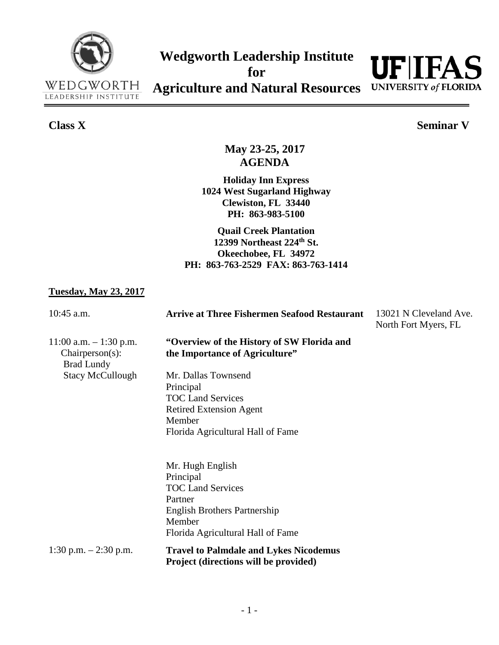



## **Class X Seminar V**

**May 23-25, 2017 AGENDA**

**Holiday Inn Express 1024 West Sugarland Highway Clewiston, FL 33440 PH: 863-983-5100**

**Quail Creek Plantation 12399 Northeast 224th St. Okeechobee, FL 34972 PH: 863-763-2529 FAX: 863-763-1414**

## **Tuesday, May 23, 2017**

| $10:45$ a.m.                                                      | <b>Arrive at Three Fishermen Seafood Restaurant</b>                                                                                                        | 13021 N Cleveland Ave.<br>North Fort Myers, FL |
|-------------------------------------------------------------------|------------------------------------------------------------------------------------------------------------------------------------------------------------|------------------------------------------------|
| $11:00$ a.m. $-1:30$ p.m.<br>Chairperson(s):<br><b>Brad Lundy</b> | "Overview of the History of SW Florida and<br>the Importance of Agriculture"                                                                               |                                                |
| <b>Stacy McCullough</b>                                           | Mr. Dallas Townsend<br>Principal<br><b>TOC Land Services</b><br><b>Retired Extension Agent</b><br>Member<br>Florida Agricultural Hall of Fame              |                                                |
|                                                                   | Mr. Hugh English<br>Principal<br><b>TOC Land Services</b><br>Partner<br><b>English Brothers Partnership</b><br>Member<br>Florida Agricultural Hall of Fame |                                                |
| 1:30 p.m. $-2:30$ p.m.                                            | <b>Travel to Palmdale and Lykes Nicodemus</b><br>Project (directions will be provided)                                                                     |                                                |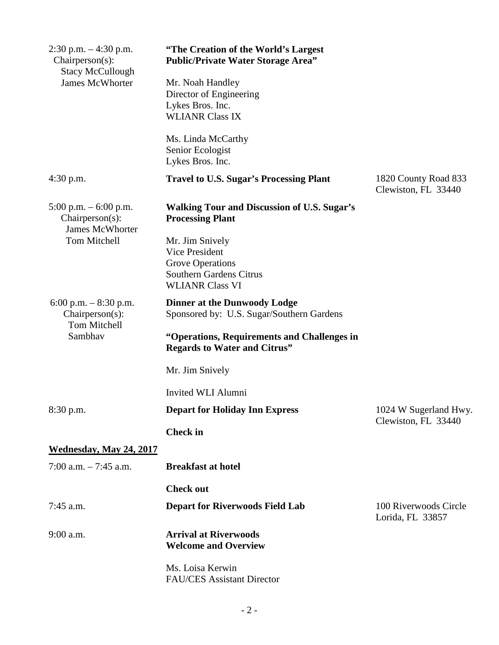| $2:30$ p.m. $-4:30$ p.m.<br>$Chairperson(s)$ :<br><b>Stacy McCullough</b> | "The Creation of the World's Largest"<br><b>Public/Private Water Storage Area"</b> |                                              |
|---------------------------------------------------------------------------|------------------------------------------------------------------------------------|----------------------------------------------|
| <b>James McWhorter</b>                                                    | Mr. Noah Handley<br>Director of Engineering                                        |                                              |
|                                                                           | Lykes Bros. Inc.                                                                   |                                              |
|                                                                           | <b>WLIANR Class IX</b>                                                             |                                              |
|                                                                           | Ms. Linda McCarthy<br>Senior Ecologist<br>Lykes Bros. Inc.                         |                                              |
| 4:30 p.m.                                                                 | <b>Travel to U.S. Sugar's Processing Plant</b>                                     | 1820 County Road 833<br>Clewiston, FL 33440  |
| 5:00 p.m. $-$ 6:00 p.m.<br>$Chairperson(s)$ :<br><b>James McWhorter</b>   | <b>Walking Tour and Discussion of U.S. Sugar's</b><br><b>Processing Plant</b>      |                                              |
| <b>Tom Mitchell</b>                                                       | Mr. Jim Snively                                                                    |                                              |
|                                                                           | <b>Vice President</b>                                                              |                                              |
|                                                                           | Grove Operations<br><b>Southern Gardens Citrus</b>                                 |                                              |
|                                                                           | <b>WLIANR Class VI</b>                                                             |                                              |
| 6:00 p.m. $-8:30$ p.m.<br>Chairperson(s):<br>Tom Mitchell<br>Sambhav      | <b>Dinner at the Dunwoody Lodge</b>                                                |                                              |
|                                                                           | Sponsored by: U.S. Sugar/Southern Gardens                                          |                                              |
|                                                                           | "Operations, Requirements and Challenges in<br><b>Regards to Water and Citrus"</b> |                                              |
|                                                                           | Mr. Jim Snively                                                                    |                                              |
|                                                                           | Invited WLI Alumni                                                                 |                                              |
| 8:30 p.m.                                                                 | <b>Depart for Holiday Inn Express</b>                                              | 1024 W Sugerland Hwy.<br>Clewiston, FL 33440 |
|                                                                           | <b>Check</b> in                                                                    |                                              |
| <b>Wednesday, May 24, 2017</b>                                            |                                                                                    |                                              |
| 7:00 a.m. $-7:45$ a.m.                                                    | <b>Breakfast at hotel</b>                                                          |                                              |
|                                                                           | <b>Check out</b>                                                                   |                                              |
| $7:45$ a.m.                                                               | <b>Depart for Riverwoods Field Lab</b>                                             | 100 Riverwoods Circle<br>Lorida, FL 33857    |
| $9:00$ a.m.                                                               | <b>Arrival at Riverwoods</b>                                                       |                                              |
|                                                                           | <b>Welcome and Overview</b>                                                        |                                              |
|                                                                           | Ms. Loisa Kerwin<br><b>FAU/CES</b> Assistant Director                              |                                              |
|                                                                           |                                                                                    |                                              |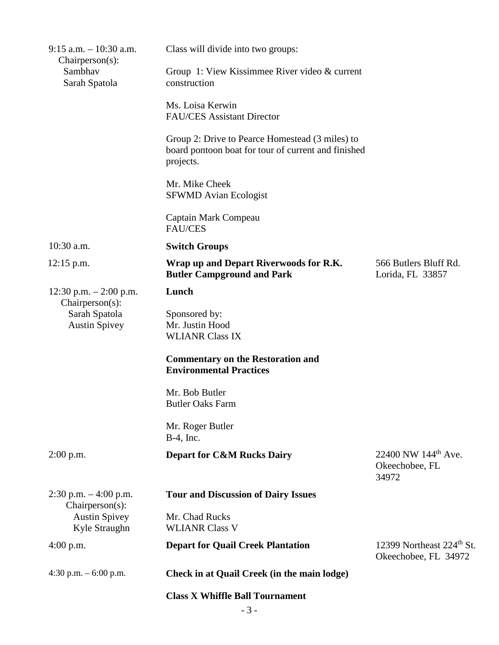| $9:15$ a.m. $-10:30$ a.m.<br>$Chairperson(s)$ :             | Class will divide into two groups:                                                                                  |                                                               |
|-------------------------------------------------------------|---------------------------------------------------------------------------------------------------------------------|---------------------------------------------------------------|
| Sambhav<br>Sarah Spatola                                    | Group 1: View Kissimmee River video & current<br>construction                                                       |                                                               |
|                                                             | Ms. Loisa Kerwin<br><b>FAU/CES</b> Assistant Director                                                               |                                                               |
|                                                             | Group 2: Drive to Pearce Homestead (3 miles) to<br>board pontoon boat for tour of current and finished<br>projects. |                                                               |
|                                                             | Mr. Mike Cheek<br><b>SFWMD Avian Ecologist</b>                                                                      |                                                               |
|                                                             | Captain Mark Compeau<br><b>FAU/CES</b>                                                                              |                                                               |
| $10:30$ a.m.                                                | <b>Switch Groups</b>                                                                                                |                                                               |
| $12:15$ p.m.                                                | Wrap up and Depart Riverwoods for R.K.<br><b>Butler Campground and Park</b>                                         | 566 Butlers Bluff Rd.<br>Lorida, FL 33857                     |
| 12:30 p.m. $- 2:00$ p.m.                                    | Lunch                                                                                                               |                                                               |
| $Chairperson(s)$ :<br>Sarah Spatola<br><b>Austin Spivey</b> | Sponsored by:<br>Mr. Justin Hood<br><b>WLIANR Class IX</b>                                                          |                                                               |
|                                                             | <b>Commentary on the Restoration and</b><br><b>Environmental Practices</b>                                          |                                                               |
|                                                             | Mr. Bob Butler<br><b>Butler Oaks Farm</b>                                                                           |                                                               |
|                                                             | Mr. Roger Butler<br>B-4, Inc.                                                                                       |                                                               |
| $2:00$ p.m.                                                 | <b>Depart for C&amp;M Rucks Dairy</b>                                                                               | 22400 NW 144 <sup>th</sup> Ave.<br>Okeechobee, FL<br>34972    |
| $2:30$ p.m. $-4:00$ p.m.<br>Chairperson(s):                 | <b>Tour and Discussion of Dairy Issues</b>                                                                          |                                                               |
| <b>Austin Spivey</b><br>Kyle Straughn                       | Mr. Chad Rucks<br><b>WLIANR Class V</b>                                                                             |                                                               |
| $4:00$ p.m.                                                 | <b>Depart for Quail Creek Plantation</b>                                                                            | 12399 Northeast 224 <sup>th</sup> St.<br>Okeechobee, FL 34972 |
| 4:30 p.m. $-6:00$ p.m.                                      | Check in at Quail Creek (in the main lodge)                                                                         |                                                               |
|                                                             |                                                                                                                     |                                                               |

## **Class X Whiffle Ball Tournament**